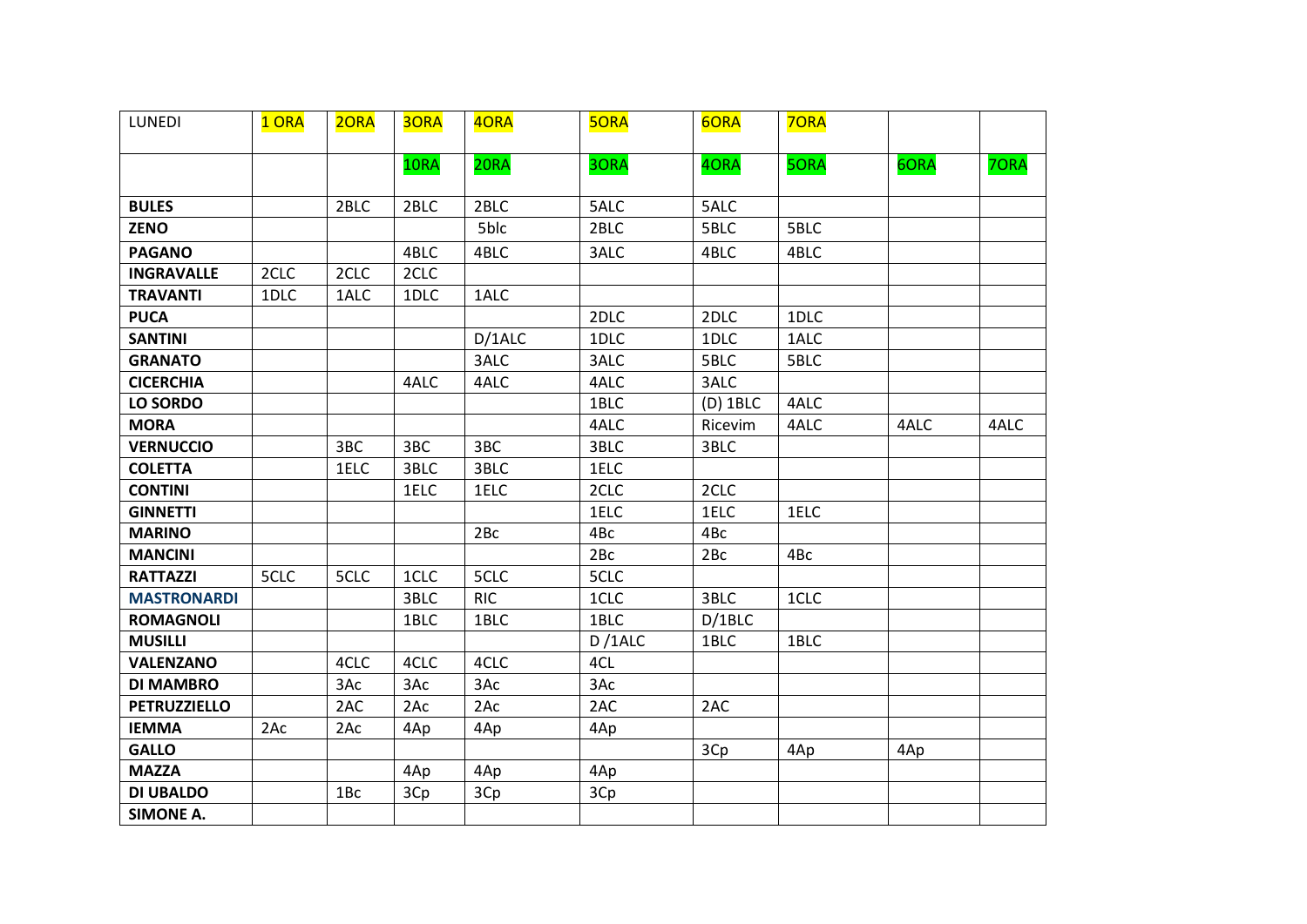| LUNEDI              | 1 ORA | 2ORA | 30RA | 40RA       | <b>5ORA</b> | 6ORA       | 70RA |      |      |
|---------------------|-------|------|------|------------|-------------|------------|------|------|------|
|                     |       |      | 10RA | 20RA       | 3ORA        | 40RA       | 50RA | 6ORA | 70RA |
|                     |       |      |      |            |             |            |      |      |      |
| <b>BULES</b>        |       | 2BLC | 2BLC | 2BLC       | 5ALC        | 5ALC       |      |      |      |
| <b>ZENO</b>         |       |      |      | 5blc       | 2BLC        | 5BLC       | 5BLC |      |      |
| <b>PAGANO</b>       |       |      | 4BLC | 4BLC       | 3ALC        | 4BLC       | 4BLC |      |      |
| <b>INGRAVALLE</b>   | 2CLC  | 2CLC | 2CLC |            |             |            |      |      |      |
| <b>TRAVANTI</b>     | 1DLC  | 1ALC | 1DLC | 1ALC       |             |            |      |      |      |
| <b>PUCA</b>         |       |      |      |            | 2DLC        | 2DLC       | 1DLC |      |      |
| <b>SANTINI</b>      |       |      |      | D/1ALC     | 1DLC        | 1DLC       | 1ALC |      |      |
| <b>GRANATO</b>      |       |      |      | 3ALC       | 3ALC        | 5BLC       | 5BLC |      |      |
| <b>CICERCHIA</b>    |       |      | 4ALC | 4ALC       | 4ALC        | 3ALC       |      |      |      |
| <b>LO SORDO</b>     |       |      |      |            | 1BLC        | $(D)$ 1BLC | 4ALC |      |      |
| <b>MORA</b>         |       |      |      |            | 4ALC        | Ricevim    | 4ALC | 4ALC | 4ALC |
| <b>VERNUCCIO</b>    |       | 3BC  | 3BC  | 3BC        | 3BLC        | 3BLC       |      |      |      |
| <b>COLETTA</b>      |       | 1ELC | 3BLC | 3BLC       | 1ELC        |            |      |      |      |
| <b>CONTINI</b>      |       |      | 1ELC | 1ELC       | 2CLC        | 2CLC       |      |      |      |
| <b>GINNETTI</b>     |       |      |      |            | 1ELC        | 1ELC       | 1ELC |      |      |
| <b>MARINO</b>       |       |      |      | 2Bc        | 4Bc         | 4Bc        |      |      |      |
| <b>MANCINI</b>      |       |      |      |            | 2Bc         | 2Bc        | 4Bc  |      |      |
| <b>RATTAZZI</b>     | 5CLC  | 5CLC | 1CLC | 5CLC       | 5CLC        |            |      |      |      |
| <b>MASTRONARDI</b>  |       |      | 3BLC | <b>RIC</b> | 1CLC        | 3BLC       | 1CLC |      |      |
| <b>ROMAGNOLI</b>    |       |      | 1BLC | 1BLC       | 1BLC        | D/1BLC     |      |      |      |
| <b>MUSILLI</b>      |       |      |      |            | D/1ALC      | 1BLC       | 1BLC |      |      |
| <b>VALENZANO</b>    |       | 4CLC | 4CLC | 4CLC       | 4CL         |            |      |      |      |
| <b>DI MAMBRO</b>    |       | 3Ac  | 3Ac  | 3Ac        | 3Ac         |            |      |      |      |
| <b>PETRUZZIELLO</b> |       | 2AC  | 2AC  | 2AC        | 2AC         | 2AC        |      |      |      |
| <b>IEMMA</b>        | 2Ac   | 2Ac  | 4Ap  | 4Ap        | 4Ap         |            |      |      |      |
| <b>GALLO</b>        |       |      |      |            |             | 3Cp        | 4Ap  | 4Ap  |      |
| <b>MAZZA</b>        |       |      | 4Ap  | 4Ap        | 4Ap         |            |      |      |      |
| <b>DI UBALDO</b>    |       | 1Bc  | 3Cp  | 3Cp        | 3Cp         |            |      |      |      |
| <b>SIMONE A.</b>    |       |      |      |            |             |            |      |      |      |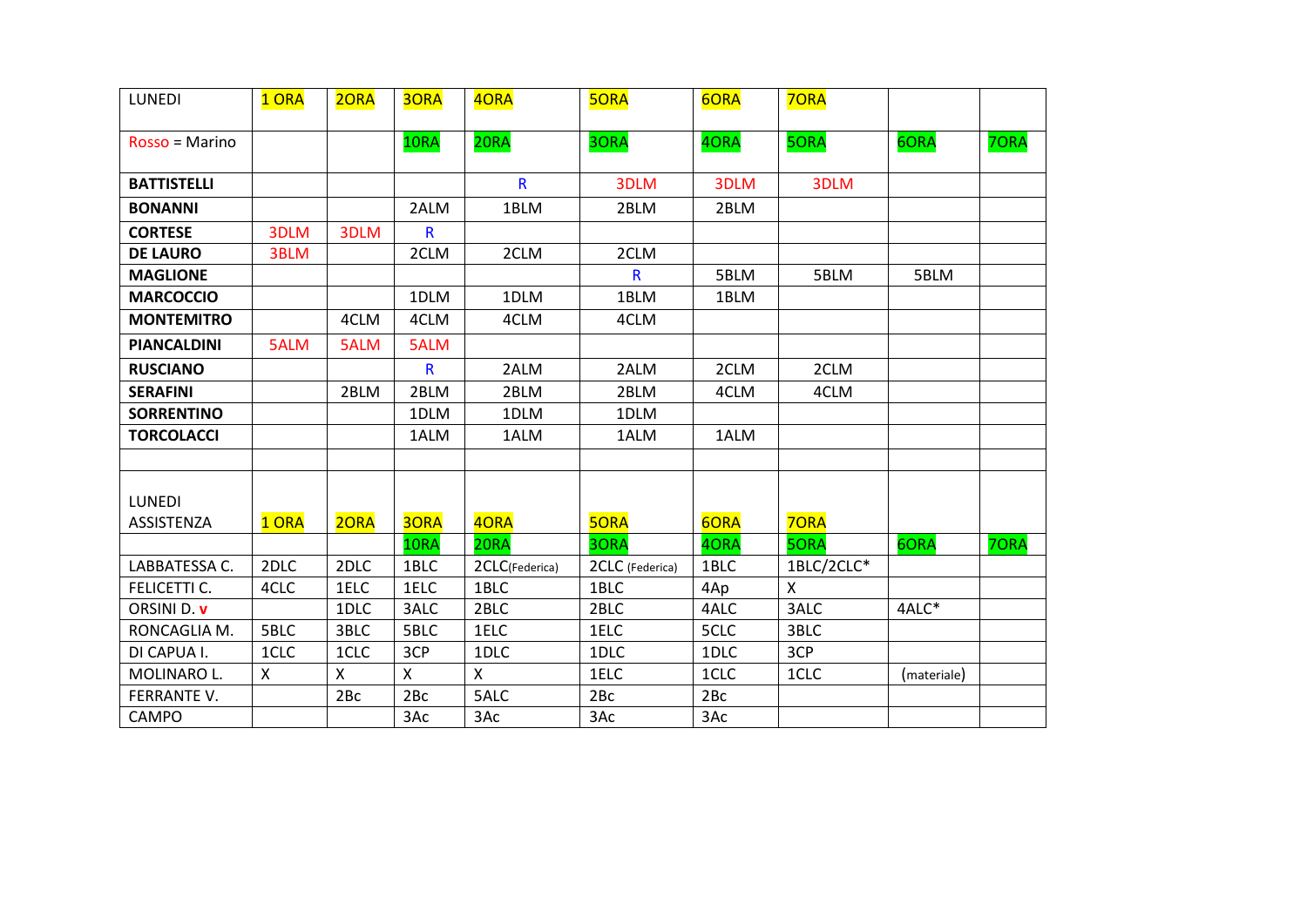| <b>LUNEDI</b>               | 1 ORA | 20RA | <b>3ORA</b>  | 40RA           | <b>50RA</b>     | 6ORA | 70RA         |             |      |
|-----------------------------|-------|------|--------------|----------------|-----------------|------|--------------|-------------|------|
| Rosso = Marino              |       |      | 10RA         | 20RA           | 3ORA            | 40RA | 50RA         | 6ORA        | 70RA |
| <b>BATTISTELLI</b>          |       |      |              | $\mathsf{R}$   | 3DLM            | 3DLM | 3DLM         |             |      |
| <b>BONANNI</b>              |       |      | 2ALM         | 1BLM           | 2BLM            | 2BLM |              |             |      |
| <b>CORTESE</b>              | 3DLM  | 3DLM | R            |                |                 |      |              |             |      |
| <b>DE LAURO</b>             | 3BLM  |      | 2CLM         | 2CLM           | 2CLM            |      |              |             |      |
| <b>MAGLIONE</b>             |       |      |              |                | R               | 5BLM | 5BLM         | 5BLM        |      |
| <b>MARCOCCIO</b>            |       |      | 1DLM         | 1DLM           | 1BLM            | 1BLM |              |             |      |
| <b>MONTEMITRO</b>           |       | 4CLM | 4CLM         | 4CLM           | 4CLM            |      |              |             |      |
| <b>PIANCALDINI</b>          | 5ALM  | 5ALM | 5ALM         |                |                 |      |              |             |      |
| <b>RUSCIANO</b>             |       |      | $\mathsf{R}$ | 2ALM           | 2ALM            | 2CLM | 2CLM         |             |      |
| <b>SERAFINI</b>             |       | 2BLM | 2BLM         | 2BLM           | 2BLM            | 4CLM | 4CLM         |             |      |
| <b>SORRENTINO</b>           |       |      | 1DLM         | 1DLM           | 1DLM            |      |              |             |      |
| <b>TORCOLACCI</b>           |       |      | 1ALM         | 1ALM           | 1ALM            | 1ALM |              |             |      |
|                             |       |      |              |                |                 |      |              |             |      |
| <b>LUNEDI</b><br>ASSISTENZA | 1 ORA | 2ORA | 30RA         | 40RA           | <b>5ORA</b>     | 6ORA | <b>70RA</b>  |             |      |
|                             |       |      | 10RA         | 20RA           | 3ORA            | 40RA | <b>5ORA</b>  | 6ORA        | 70RA |
| LABBATESSA C.               | 2DLC  | 2DLC | 1BLC         | 2CLC(Federica) | 2CLC (Federica) | 1BLC | 1BLC/2CLC*   |             |      |
| FELICETTI C.                | 4CLC  | 1ELC | 1ELC         | 1BLC           | 1BLC            | 4Ap  | $\mathsf{X}$ |             |      |
| ORSINI D. v                 |       | 1DLC | 3ALC         | 2BLC           | 2BLC            | 4ALC | 3ALC         | 4ALC*       |      |
| RONCAGLIA M.                | 5BLC  | 3BLC | 5BLC         | 1ELC           | 1ELC            | 5CLC | 3BLC         |             |      |
| DI CAPUA I.                 | 1CLC  | 1CLC | 3CP          | 1DLC           | 1DLC            | 1DLC | 3CP          |             |      |
| MOLINARO L.                 | X     | X    | X            | X              | 1ELC            | 1CLC | 1CLC         | (materiale) |      |
| FERRANTE V.                 |       | 2Bc  | 2Bc          | 5ALC           | 2Bc             | 2Bc  |              |             |      |
| <b>CAMPO</b>                |       |      | 3Ac          | 3Ac            | 3Ac             | 3Ac  |              |             |      |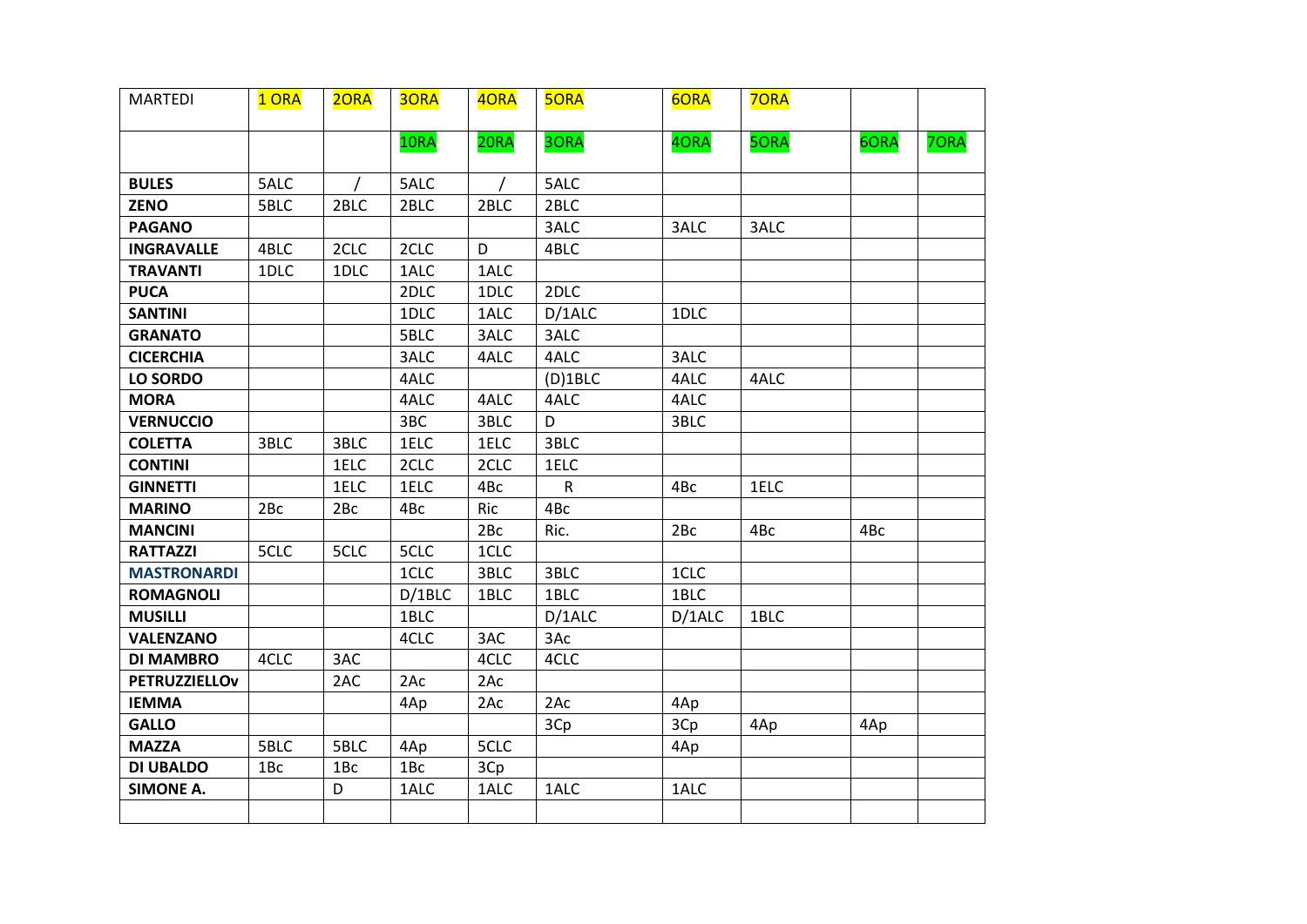| <b>MARTEDI</b>       | 1 ORA | 20RA            | <b>3ORA</b> | 4ORA | <b>5ORA</b>  | 6ORA   | <b>70RA</b> |      |      |
|----------------------|-------|-----------------|-------------|------|--------------|--------|-------------|------|------|
|                      |       |                 | 10RA        | 20RA | 3ORA         | 4ORA   | 5ORA        | 6ORA | 7ORA |
| <b>BULES</b>         | 5ALC  |                 | 5ALC        |      | 5ALC         |        |             |      |      |
| <b>ZENO</b>          | 5BLC  | 2BLC            | 2BLC        | 2BLC | 2BLC         |        |             |      |      |
| <b>PAGANO</b>        |       |                 |             |      | 3ALC         | 3ALC   | 3ALC        |      |      |
| <b>INGRAVALLE</b>    | 4BLC  | 2CLC            | 2CLC        | D    | 4BLC         |        |             |      |      |
| <b>TRAVANTI</b>      | 1DLC  | 1DLC            | 1ALC        | 1ALC |              |        |             |      |      |
| <b>PUCA</b>          |       |                 | 2DLC        | 1DLC | 2DLC         |        |             |      |      |
| <b>SANTINI</b>       |       |                 | 1DLC        | 1ALC | D/1ALC       | 1DLC   |             |      |      |
| <b>GRANATO</b>       |       |                 | 5BLC        | 3ALC | 3ALC         |        |             |      |      |
| <b>CICERCHIA</b>     |       |                 | 3ALC        | 4ALC | 4ALC         | 3ALC   |             |      |      |
| <b>LO SORDO</b>      |       |                 | 4ALC        |      | $(D)$ 1BLC   | 4ALC   | 4ALC        |      |      |
| <b>MORA</b>          |       |                 | 4ALC        | 4ALC | 4ALC         | 4ALC   |             |      |      |
| <b>VERNUCCIO</b>     |       |                 | 3BC         | 3BLC | D            | 3BLC   |             |      |      |
| <b>COLETTA</b>       | 3BLC  | 3BLC            | 1ELC        | 1ELC | 3BLC         |        |             |      |      |
| <b>CONTINI</b>       |       | 1ELC            | 2CLC        | 2CLC | 1ELC         |        |             |      |      |
| <b>GINNETTI</b>      |       | 1ELC            | 1ELC        | 4Bc  | $\mathsf{R}$ | 4Bc    | 1ELC        |      |      |
| <b>MARINO</b>        | 2Bc   | 2Bc             | 4Bc         | Ric  | 4Bc          |        |             |      |      |
| <b>MANCINI</b>       |       |                 |             | 2Bc  | Ric.         | 2Bc    | 4Bc         | 4Bc  |      |
| <b>RATTAZZI</b>      | 5CLC  | 5CLC            | 5CLC        | 1CLC |              |        |             |      |      |
| <b>MASTRONARDI</b>   |       |                 | 1CLC        | 3BLC | 3BLC         | 1CLC   |             |      |      |
| <b>ROMAGNOLI</b>     |       |                 | D/1BLC      | 1BLC | 1BLC         | 1BLC   |             |      |      |
| <b>MUSILLI</b>       |       |                 | 1BLC        |      | D/1ALC       | D/1ALC | 1BLC        |      |      |
| <b>VALENZANO</b>     |       |                 | 4CLC        | 3AC  | 3Ac          |        |             |      |      |
| <b>DI MAMBRO</b>     | 4CLC  | 3AC             |             | 4CLC | 4CLC         |        |             |      |      |
| <b>PETRUZZIELLOV</b> |       | 2AC             | 2Ac         | 2Ac  |              |        |             |      |      |
| <b>IEMMA</b>         |       |                 | 4Ap         | 2Ac  | 2AC          | 4Ap    |             |      |      |
| <b>GALLO</b>         |       |                 |             |      | 3Cp          | 3Cp    | 4Ap         | 4Ap  |      |
| <b>MAZZA</b>         | 5BLC  | 5BLC            | 4Ap         | 5CLC |              | 4Ap    |             |      |      |
| <b>DI UBALDO</b>     | 1Bc   | 1B <sub>c</sub> | 1Bc         | 3Cp  |              |        |             |      |      |
| <b>SIMONE A.</b>     |       | D               | 1ALC        | 1ALC | 1ALC         | 1ALC   |             |      |      |
|                      |       |                 |             |      |              |        |             |      |      |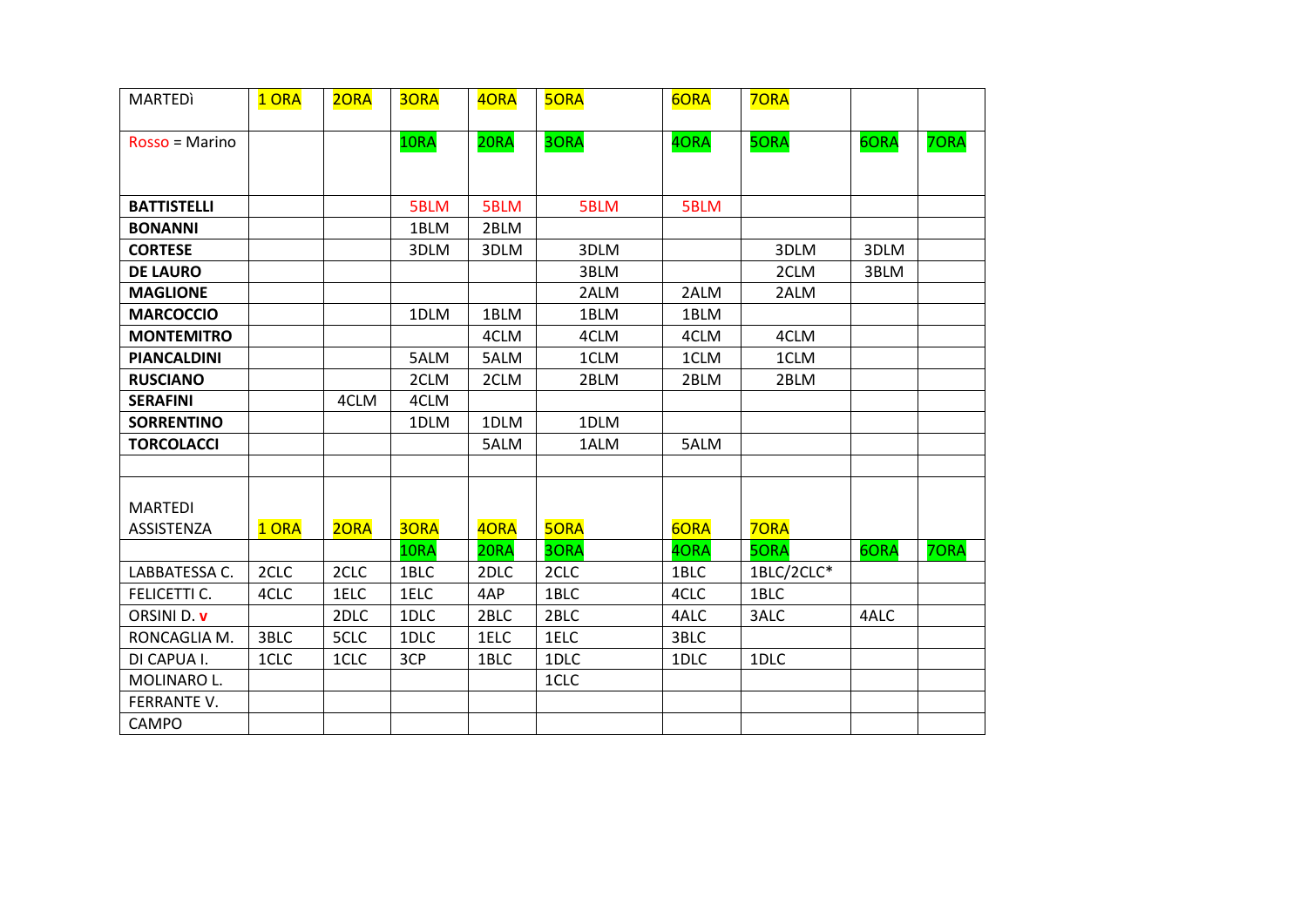| <b>MARTEDI</b>               | 1 ORA | 2ORA | <b>3ORA</b> | 40RA | <b>5ORA</b> | 6ORA | 70RA        |      |      |
|------------------------------|-------|------|-------------|------|-------------|------|-------------|------|------|
| $Rosso = Marine$             |       |      | 10RA        | 20RA | 30RA        | 40RA | 50RA        | 6ORA | 70RA |
| <b>BATTISTELLI</b>           |       |      | 5BLM        | 5BLM | 5BLM        | 5BLM |             |      |      |
| <b>BONANNI</b>               |       |      | 1BLM        | 2BLM |             |      |             |      |      |
| <b>CORTESE</b>               |       |      | 3DLM        | 3DLM | 3DLM        |      | 3DLM        | 3DLM |      |
| <b>DE LAURO</b>              |       |      |             |      | 3BLM        |      | 2CLM        | 3BLM |      |
| <b>MAGLIONE</b>              |       |      |             |      | 2ALM        | 2ALM | 2ALM        |      |      |
| <b>MARCOCCIO</b>             |       |      | 1DLM        | 1BLM | 1BLM        | 1BLM |             |      |      |
| <b>MONTEMITRO</b>            |       |      |             | 4CLM | 4CLM        | 4CLM | 4CLM        |      |      |
| <b>PIANCALDINI</b>           |       |      | 5ALM        | 5ALM | 1CLM        | 1CLM | 1CLM        |      |      |
| <b>RUSCIANO</b>              |       |      | 2CLM        | 2CLM | 2BLM        | 2BLM | 2BLM        |      |      |
| <b>SERAFINI</b>              |       | 4CLM | 4CLM        |      |             |      |             |      |      |
| <b>SORRENTINO</b>            |       |      | 1DLM        | 1DLM | 1DLM        |      |             |      |      |
| <b>TORCOLACCI</b>            |       |      |             | 5ALM | 1ALM        | 5ALM |             |      |      |
|                              |       |      |             |      |             |      |             |      |      |
| <b>MARTEDI</b><br>ASSISTENZA | 1 ORA | 20RA | 30RA        | 4ORA | <b>5ORA</b> | 6ORA | <b>70RA</b> |      |      |
|                              |       |      | 10RA        | 20RA | 3ORA        | 40RA | <b>5ORA</b> | 6ORA | 70RA |
| LABBATESSA C.                | 2CLC  | 2CLC | 1BLC        | 2DLC | 2CLC        | 1BLC | 1BLC/2CLC*  |      |      |
| FELICETTI C.                 | 4CLC  | 1ELC | 1ELC        | 4AP  | 1BLC        | 4CLC | 1BLC        |      |      |
| ORSINI D. v                  |       | 2DLC | 1DLC        | 2BLC | 2BLC        | 4ALC | 3ALC        | 4ALC |      |
| RONCAGLIA M.                 | 3BLC  | 5CLC | 1DLC        | 1ELC | 1ELC        | 3BLC |             |      |      |
| DI CAPUA I.                  | 1CLC  | 1CLC | 3CP         | 1BLC | 1DLC        | 1DLC | 1DLC        |      |      |
| MOLINARO L.                  |       |      |             |      | 1CLC        |      |             |      |      |
| FERRANTE V.                  |       |      |             |      |             |      |             |      |      |
| CAMPO                        |       |      |             |      |             |      |             |      |      |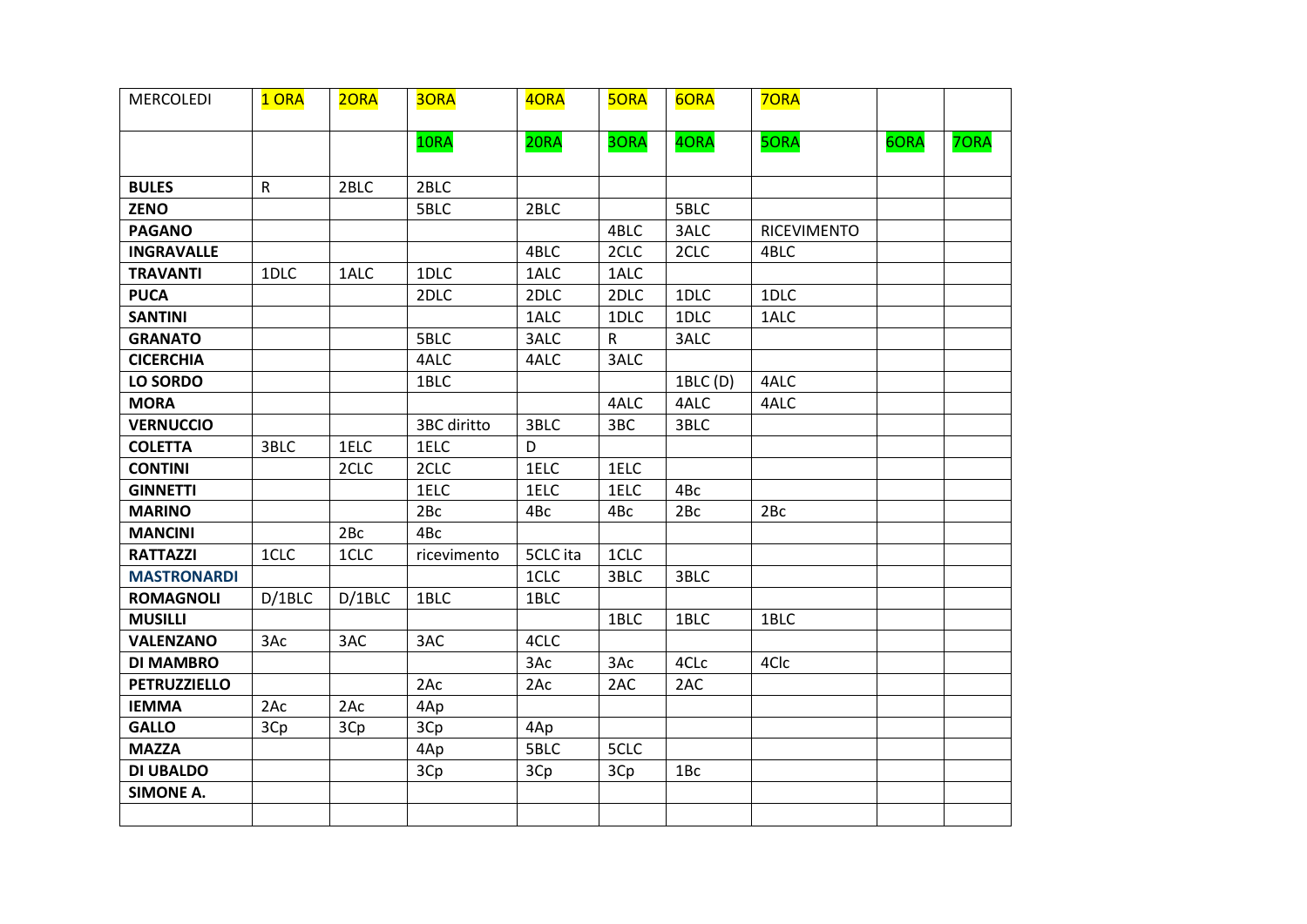| <b>MERCOLEDI</b>    | 1 ORA        | 20RA   | 3ORA        | 40RA     | <b>50RA</b> | 6ORA     | 70RA        |      |      |
|---------------------|--------------|--------|-------------|----------|-------------|----------|-------------|------|------|
|                     |              |        | 10RA        | 20RA     | 3ORA        | 4ORA     | 5ORA        | 6ORA | 7ORA |
| <b>BULES</b>        | $\mathsf{R}$ | 2BLC   | 2BLC        |          |             |          |             |      |      |
| <b>ZENO</b>         |              |        | 5BLC        | 2BLC     |             | 5BLC     |             |      |      |
| <b>PAGANO</b>       |              |        |             |          | 4BLC        | 3ALC     | RICEVIMENTO |      |      |
| <b>INGRAVALLE</b>   |              |        |             | 4BLC     | 2CLC        | 2CLC     | 4BLC        |      |      |
| <b>TRAVANTI</b>     | 1DLC         | 1ALC   | 1DLC        | 1ALC     | 1ALC        |          |             |      |      |
| <b>PUCA</b>         |              |        | 2DLC        | 2DLC     | 2DLC        | 1DLC     | 1DLC        |      |      |
| <b>SANTINI</b>      |              |        |             | 1ALC     | 1DLC        | 1DLC     | 1ALC        |      |      |
| <b>GRANATO</b>      |              |        | 5BLC        | 3ALC     | R           | 3ALC     |             |      |      |
| <b>CICERCHIA</b>    |              |        | 4ALC        | 4ALC     | 3ALC        |          |             |      |      |
| <b>LO SORDO</b>     |              |        | 1BLC        |          |             | 1BLC (D) | 4ALC        |      |      |
| <b>MORA</b>         |              |        |             |          | 4ALC        | 4ALC     | 4ALC        |      |      |
| <b>VERNUCCIO</b>    |              |        | 3BC diritto | 3BLC     | 3BC         | 3BLC     |             |      |      |
| <b>COLETTA</b>      | 3BLC         | 1ELC   | 1ELC        | D        |             |          |             |      |      |
| <b>CONTINI</b>      |              | 2CLC   | 2CLC        | 1ELC     | 1ELC        |          |             |      |      |
| <b>GINNETTI</b>     |              |        | 1ELC        | 1ELC     | 1ELC        | 4Bc      |             |      |      |
| <b>MARINO</b>       |              |        | 2Bc         | 4Bc      | 4Bc         | 2Bc      | 2Bc         |      |      |
| <b>MANCINI</b>      |              | 2Bc    | 4Bc         |          |             |          |             |      |      |
| <b>RATTAZZI</b>     | 1CLC         | 1CLC   | ricevimento | 5CLC ita | 1CLC        |          |             |      |      |
| <b>MASTRONARDI</b>  |              |        |             | 1CLC     | 3BLC        | 3BLC     |             |      |      |
| <b>ROMAGNOLI</b>    | D/1BLC       | D/1BLC | 1BLC        | 1BLC     |             |          |             |      |      |
| <b>MUSILLI</b>      |              |        |             |          | 1BLC        | 1BLC     | 1BLC        |      |      |
| <b>VALENZANO</b>    | 3Ac          | 3AC    | 3AC         | 4CLC     |             |          |             |      |      |
| <b>DI MAMBRO</b>    |              |        |             | 3Ac      | 3Ac         | 4CLc     | 4Clc        |      |      |
| <b>PETRUZZIELLO</b> |              |        | 2Ac         | 2Ac      | 2AC         | 2AC      |             |      |      |
| <b>IEMMA</b>        | 2Ac          | 2Ac    | 4Ap         |          |             |          |             |      |      |
| <b>GALLO</b>        | 3Cp          | 3Cp    | 3Cp         | 4Ap      |             |          |             |      |      |
| <b>MAZZA</b>        |              |        | 4Ap         | 5BLC     | 5CLC        |          |             |      |      |
| <b>DI UBALDO</b>    |              |        | 3Cp         | 3Cp      | 3Cp         | 1Bc      |             |      |      |
| <b>SIMONE A.</b>    |              |        |             |          |             |          |             |      |      |
|                     |              |        |             |          |             |          |             |      |      |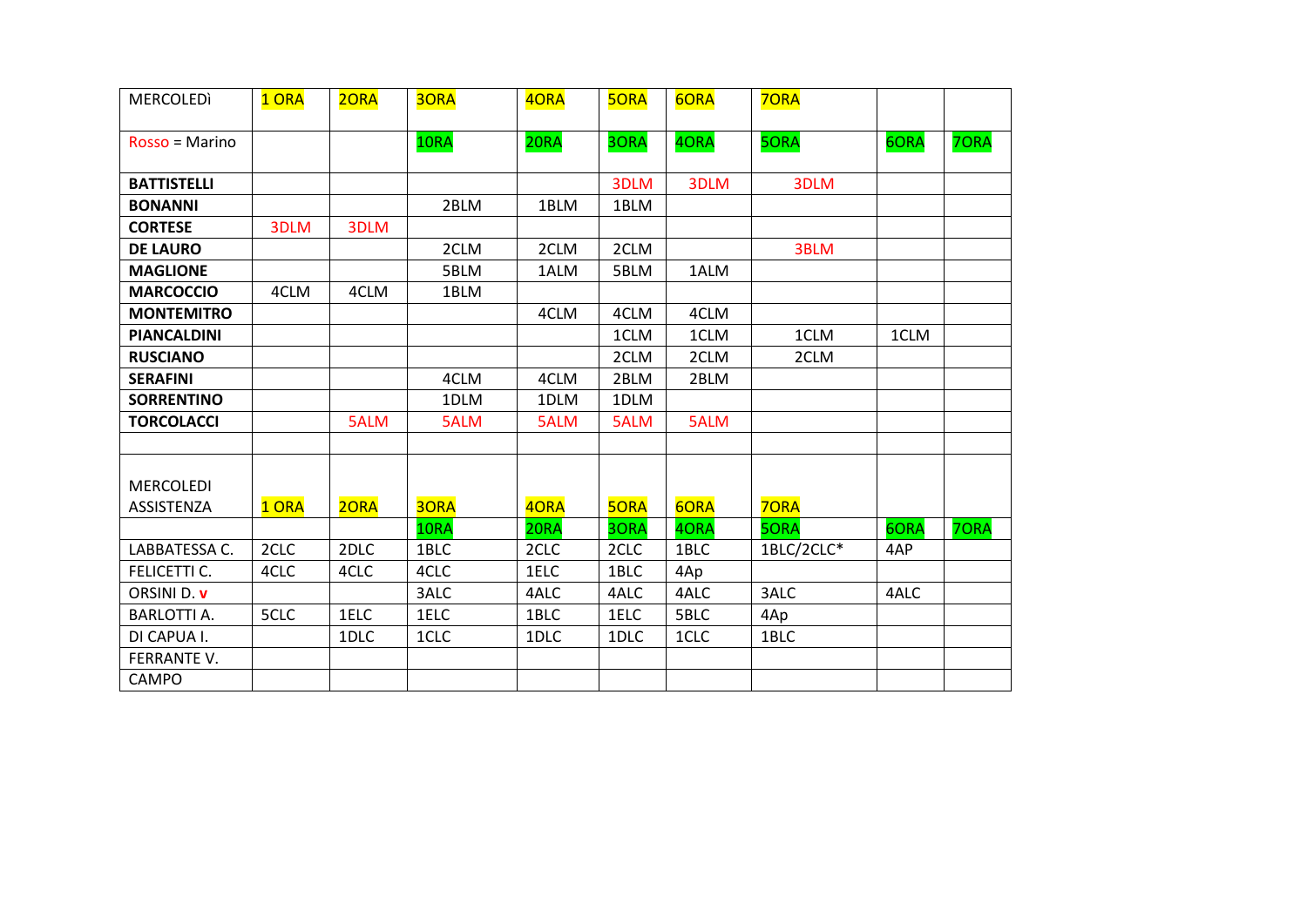| <b>MERCOLEDI</b>   | 1 ORA | 20RA | 30RA | 40RA | <b>5ORA</b> | 6ORA | <b>7ORA</b> |      |      |
|--------------------|-------|------|------|------|-------------|------|-------------|------|------|
| Rosso = Marino     |       |      | 10RA | 20RA | 3ORA        | 40RA | 50RA        | 6ORA | 70RA |
|                    |       |      |      |      |             |      |             |      |      |
| <b>BATTISTELLI</b> |       |      |      |      | 3DLM        | 3DLM | 3DLM        |      |      |
| <b>BONANNI</b>     |       |      | 2BLM | 1BLM | 1BLM        |      |             |      |      |
| <b>CORTESE</b>     | 3DLM  | 3DLM |      |      |             |      |             |      |      |
| <b>DE LAURO</b>    |       |      | 2CLM | 2CLM | 2CLM        |      | 3BLM        |      |      |
| <b>MAGLIONE</b>    |       |      | 5BLM | 1ALM | 5BLM        | 1ALM |             |      |      |
| <b>MARCOCCIO</b>   | 4CLM  | 4CLM | 1BLM |      |             |      |             |      |      |
| <b>MONTEMITRO</b>  |       |      |      | 4CLM | 4CLM        | 4CLM |             |      |      |
| <b>PIANCALDINI</b> |       |      |      |      | 1CLM        | 1CLM | 1CLM        | 1CLM |      |
| <b>RUSCIANO</b>    |       |      |      |      | 2CLM        | 2CLM | 2CLM        |      |      |
| <b>SERAFINI</b>    |       |      | 4CLM | 4CLM | 2BLM        | 2BLM |             |      |      |
| <b>SORRENTINO</b>  |       |      | 1DLM | 1DLM | 1DLM        |      |             |      |      |
| <b>TORCOLACCI</b>  |       | 5ALM | 5ALM | 5ALM | 5ALM        | 5ALM |             |      |      |
|                    |       |      |      |      |             |      |             |      |      |
|                    |       |      |      |      |             |      |             |      |      |
| <b>MERCOLEDI</b>   |       |      |      |      |             |      |             |      |      |
| <b>ASSISTENZA</b>  | 1 ORA | 20RA | 30RA | 40RA | <b>50RA</b> | 6ORA | <b>70RA</b> |      |      |
|                    |       |      | 10RA | 20RA | 3ORA        | 40RA | <b>5ORA</b> | 6ORA | 70RA |
| LABBATESSA C.      | 2CLC  | 2DLC | 1BLC | 2CLC | 2CLC        | 1BLC | 1BLC/2CLC*  | 4AP  |      |
| FELICETTI C.       | 4CLC  | 4CLC | 4CLC | 1ELC | 1BLC        | 4Ap  |             |      |      |
| ORSINI D. v        |       |      | 3ALC | 4ALC | 4ALC        | 4ALC | 3ALC        | 4ALC |      |
| <b>BARLOTTI A.</b> | 5CLC  | 1ELC | 1ELC | 1BLC | 1ELC        | 5BLC | 4Ap         |      |      |
| DI CAPUA I.        |       | 1DLC | 1CLC | 1DLC | 1DLC        | 1CLC | 1BLC        |      |      |
| FERRANTE V.        |       |      |      |      |             |      |             |      |      |
| CAMPO              |       |      |      |      |             |      |             |      |      |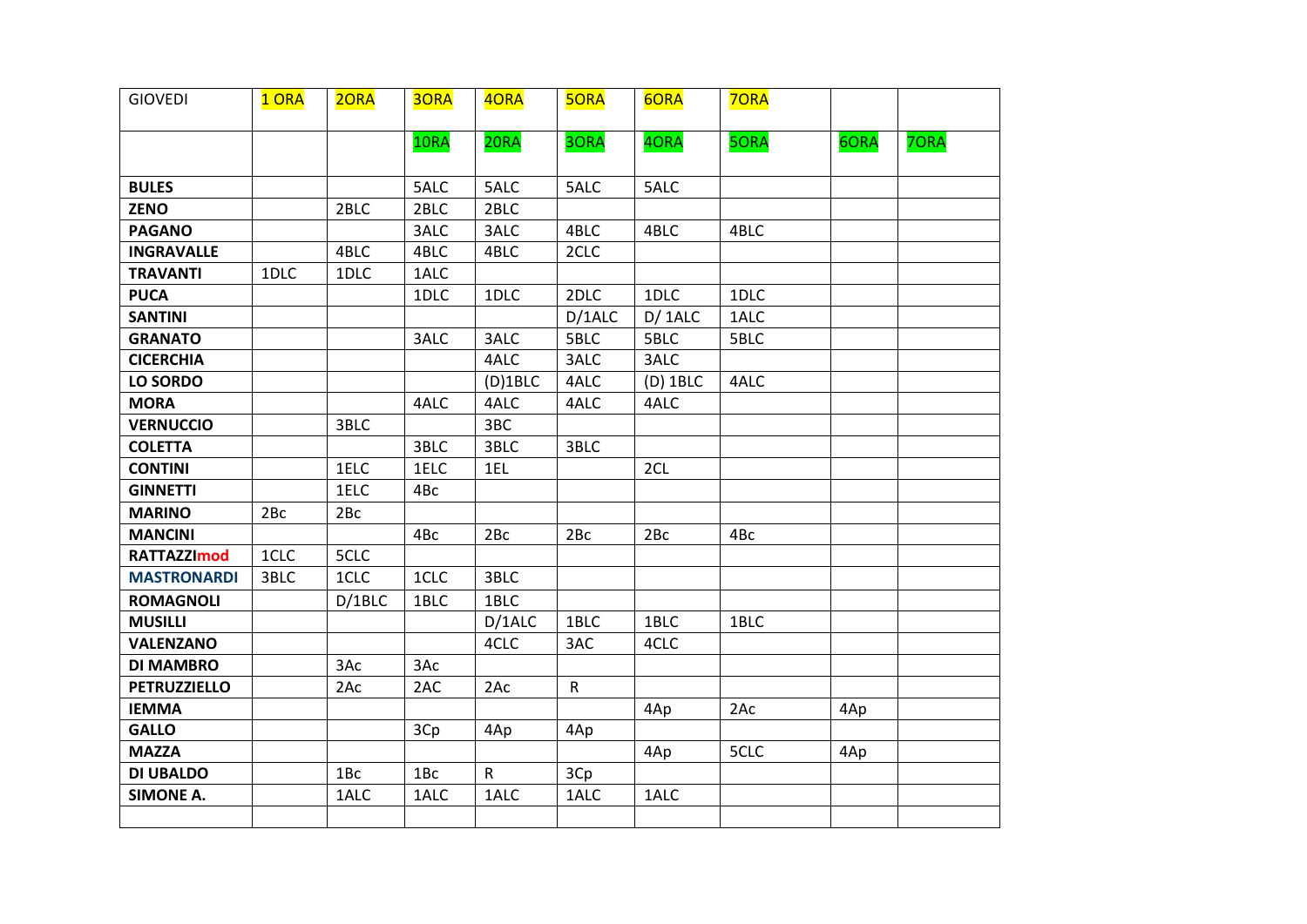| <b>GIOVEDI</b>      | 1 ORA | 20RA            | 3ORA            | 4ORA         | <b>5ORA</b>  | 6ORA       | 70RA |      |      |
|---------------------|-------|-----------------|-----------------|--------------|--------------|------------|------|------|------|
|                     |       |                 | 10RA            | 20RA         | 3ORA         | 4ORA       | 5ORA | 6ORA | 70RA |
| <b>BULES</b>        |       |                 | 5ALC            | 5ALC         | 5ALC         | 5ALC       |      |      |      |
| <b>ZENO</b>         |       | 2BLC            | 2BLC            | 2BLC         |              |            |      |      |      |
| <b>PAGANO</b>       |       |                 | 3ALC            | 3ALC         | 4BLC         | 4BLC       | 4BLC |      |      |
| <b>INGRAVALLE</b>   |       | 4BLC            | 4BLC            | 4BLC         | 2CLC         |            |      |      |      |
| <b>TRAVANTI</b>     | 1DLC  | 1DLC            | 1ALC            |              |              |            |      |      |      |
| <b>PUCA</b>         |       |                 | 1DLC            | 1DLC         | 2DLC         | 1DLC       | 1DLC |      |      |
| <b>SANTINI</b>      |       |                 |                 |              | D/1ALC       | D/1ALC     | 1ALC |      |      |
| <b>GRANATO</b>      |       |                 | 3ALC            | 3ALC         | 5BLC         | 5BLC       | 5BLC |      |      |
| <b>CICERCHIA</b>    |       |                 |                 | 4ALC         | 3ALC         | 3ALC       |      |      |      |
| <b>LO SORDO</b>     |       |                 |                 | $(D)$ 1BLC   | 4ALC         | $(D)$ 1BLC | 4ALC |      |      |
| <b>MORA</b>         |       |                 | 4ALC            | 4ALC         | 4ALC         | 4ALC       |      |      |      |
| <b>VERNUCCIO</b>    |       | 3BLC            |                 | 3BC          |              |            |      |      |      |
| <b>COLETTA</b>      |       |                 | 3BLC            | 3BLC         | 3BLC         |            |      |      |      |
| <b>CONTINI</b>      |       | 1ELC            | 1ELC            | 1EL          |              | 2CL        |      |      |      |
| <b>GINNETTI</b>     |       | 1ELC            | 4Bc             |              |              |            |      |      |      |
| <b>MARINO</b>       | 2Bc   | 2Bc             |                 |              |              |            |      |      |      |
| <b>MANCINI</b>      |       |                 | 4Bc             | 2Bc          | 2Bc          | 2Bc        | 4Bc  |      |      |
| <b>RATTAZZImod</b>  | 1CLC  | 5CLC            |                 |              |              |            |      |      |      |
| <b>MASTRONARDI</b>  | 3BLC  | 1CLC            | 1CLC            | 3BLC         |              |            |      |      |      |
| <b>ROMAGNOLI</b>    |       | D/1BLC          | 1BLC            | 1BLC         |              |            |      |      |      |
| <b>MUSILLI</b>      |       |                 |                 | D/1ALC       | 1BLC         | 1BLC       | 1BLC |      |      |
| <b>VALENZANO</b>    |       |                 |                 | 4CLC         | 3AC          | 4CLC       |      |      |      |
| <b>DI MAMBRO</b>    |       | 3Ac             | 3Ac             |              |              |            |      |      |      |
| <b>PETRUZZIELLO</b> |       | 2Ac             | 2AC             | 2Ac          | $\mathsf{R}$ |            |      |      |      |
| <b>IEMMA</b>        |       |                 |                 |              |              | 4Ap        | 2Ac  | 4Ap  |      |
| <b>GALLO</b>        |       |                 | 3Cp             | 4Ap          | 4Ap          |            |      |      |      |
| <b>MAZZA</b>        |       |                 |                 |              |              | 4Ap        | 5CLC | 4Ap  |      |
| <b>DI UBALDO</b>    |       | 1B <sub>c</sub> | 1B <sub>c</sub> | $\mathsf{R}$ | 3Cp          |            |      |      |      |
| <b>SIMONE A.</b>    |       | 1ALC            | 1ALC            | 1ALC         | 1ALC         | 1ALC       |      |      |      |
|                     |       |                 |                 |              |              |            |      |      |      |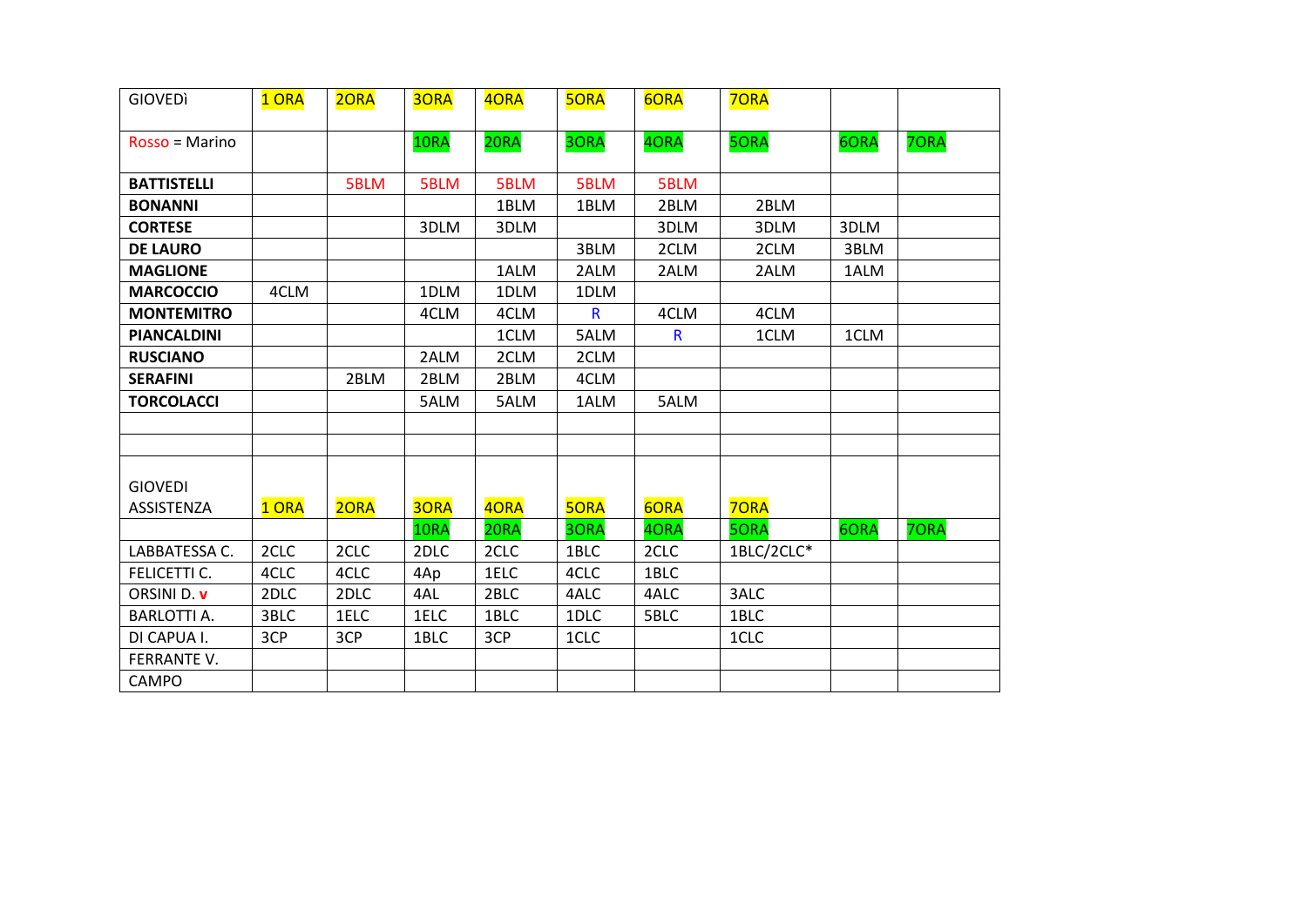| <b>GIOVEDI</b>     | 1 ORA | 20RA | <b>3ORA</b> | 40RA | <b>5ORA</b>  | 6ORA         | 70RA        |      |      |
|--------------------|-------|------|-------------|------|--------------|--------------|-------------|------|------|
| Rosso = Marino     |       |      | 10RA        | 20RA | 30RA         | 40RA         | 50RA        | 6ORA | 70RA |
| <b>BATTISTELLI</b> |       | 5BLM | 5BLM        | 5BLM | 5BLM         | 5BLM         |             |      |      |
| <b>BONANNI</b>     |       |      |             | 1BLM | 1BLM         | 2BLM         | 2BLM        |      |      |
| <b>CORTESE</b>     |       |      | 3DLM        | 3DLM |              | 3DLM         | 3DLM        | 3DLM |      |
| <b>DE LAURO</b>    |       |      |             |      | 3BLM         | 2CLM         | 2CLM        | 3BLM |      |
| <b>MAGLIONE</b>    |       |      |             | 1ALM | 2ALM         | 2ALM         | 2ALM        | 1ALM |      |
| <b>MARCOCCIO</b>   | 4CLM  |      | 1DLM        | 1DLM | 1DLM         |              |             |      |      |
| <b>MONTEMITRO</b>  |       |      | 4CLM        | 4CLM | $\mathsf{R}$ | 4CLM         | 4CLM        |      |      |
| <b>PIANCALDINI</b> |       |      |             | 1CLM | 5ALM         | $\mathsf{R}$ | 1CLM        | 1CLM |      |
| <b>RUSCIANO</b>    |       |      | 2ALM        | 2CLM | 2CLM         |              |             |      |      |
| <b>SERAFINI</b>    |       | 2BLM | 2BLM        | 2BLM | 4CLM         |              |             |      |      |
| <b>TORCOLACCI</b>  |       |      | 5ALM        | 5ALM | 1ALM         | 5ALM         |             |      |      |
|                    |       |      |             |      |              |              |             |      |      |
| <b>GIOVEDI</b>     |       |      |             |      |              |              |             |      |      |
| ASSISTENZA         | 1 ORA | 2ORA | 30RA        | 4ORA | <b>5ORA</b>  | 6ORA         | <b>70RA</b> |      |      |
|                    |       |      | 10RA        | 20RA | 3ORA         | 4ORA         | <b>5ORA</b> | 6ORA | 70RA |
| LABBATESSA C.      | 2CLC  | 2CLC | 2DLC        | 2CLC | 1BLC         | 2CLC         | 1BLC/2CLC*  |      |      |
| FELICETTI C.       | 4CLC  | 4CLC | 4Ap         | 1ELC | 4CLC         | 1BLC         |             |      |      |
| ORSINI D. v        | 2DLC  | 2DLC | 4AL         | 2BLC | 4ALC         | 4ALC         | 3ALC        |      |      |
| <b>BARLOTTI A.</b> | 3BLC  | 1ELC | 1ELC        | 1BLC | 1DLC         | 5BLC         | 1BLC        |      |      |
| DI CAPUA I.        | 3CP   | 3CP  | 1BLC        | 3CP  | 1CLC         |              | 1CLC        |      |      |
| FERRANTE V.        |       |      |             |      |              |              |             |      |      |
| <b>CAMPO</b>       |       |      |             |      |              |              |             |      |      |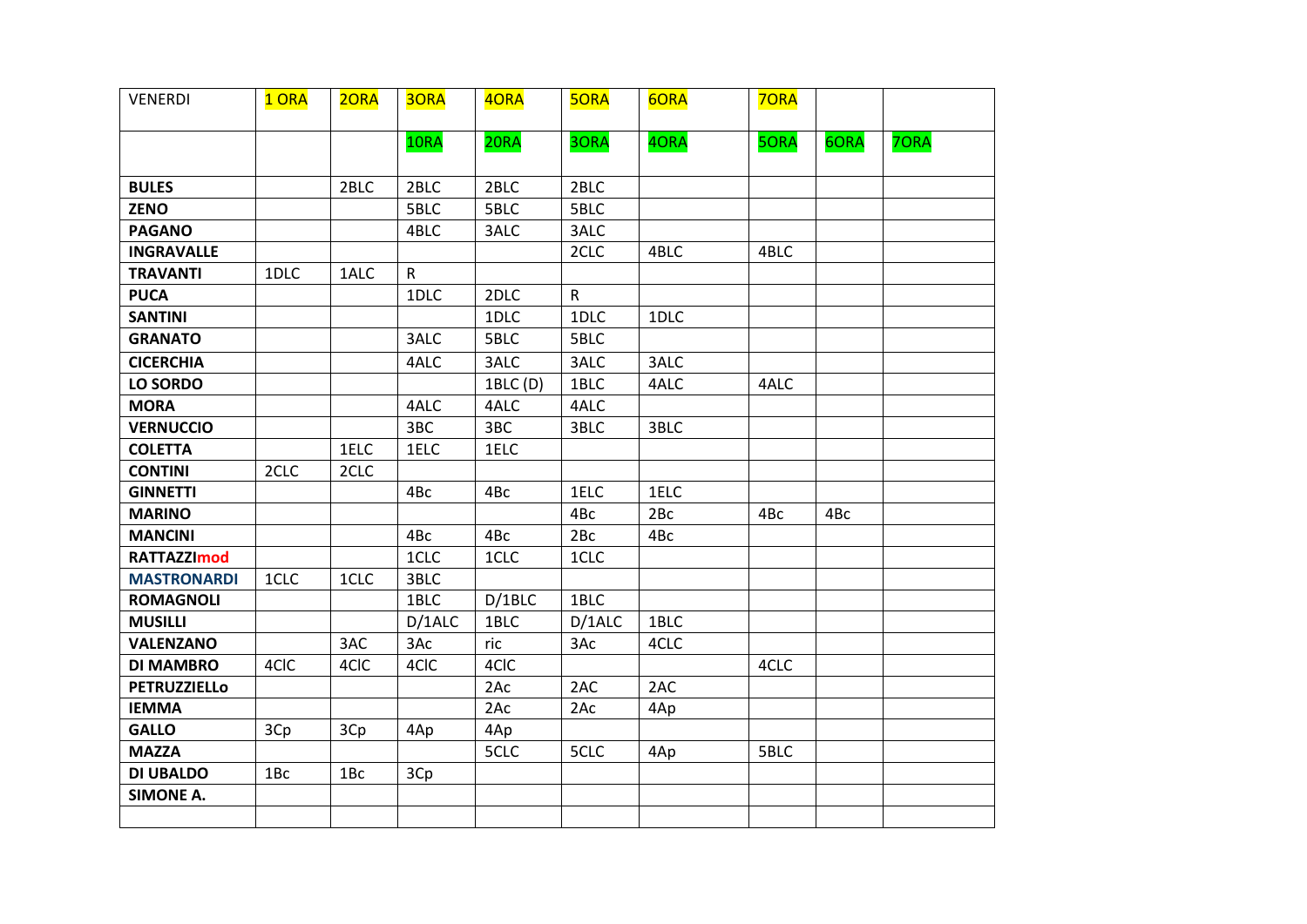| <b>VENERDI</b>      | 1 ORA           | 20RA | 30RA         | 4ORA     | <b>5ORA</b>  | 6ORA | <b>70RA</b> |      |      |
|---------------------|-----------------|------|--------------|----------|--------------|------|-------------|------|------|
|                     |                 |      | 10RA         | 20RA     | 3ORA         | 40RA | <b>5ORA</b> | 6ORA | 70RA |
| <b>BULES</b>        |                 | 2BLC | 2BLC         | 2BLC     | 2BLC         |      |             |      |      |
| <b>ZENO</b>         |                 |      | 5BLC         | 5BLC     | 5BLC         |      |             |      |      |
| <b>PAGANO</b>       |                 |      | 4BLC         | 3ALC     | 3ALC         |      |             |      |      |
| <b>INGRAVALLE</b>   |                 |      |              |          | 2CLC         | 4BLC | 4BLC        |      |      |
| <b>TRAVANTI</b>     | 1DLC            | 1ALC | $\mathsf{R}$ |          |              |      |             |      |      |
| <b>PUCA</b>         |                 |      | 1DLC         | 2DLC     | $\mathsf{R}$ |      |             |      |      |
| <b>SANTINI</b>      |                 |      |              | 1DLC     | 1DLC         | 1DLC |             |      |      |
| <b>GRANATO</b>      |                 |      | 3ALC         | 5BLC     | 5BLC         |      |             |      |      |
| <b>CICERCHIA</b>    |                 |      | 4ALC         | 3ALC     | 3ALC         | 3ALC |             |      |      |
| <b>LO SORDO</b>     |                 |      |              | 1BLC (D) | 1BLC         | 4ALC | 4ALC        |      |      |
| <b>MORA</b>         |                 |      | 4ALC         | 4ALC     | 4ALC         |      |             |      |      |
| <b>VERNUCCIO</b>    |                 |      | 3BC          | 3BC      | 3BLC         | 3BLC |             |      |      |
| <b>COLETTA</b>      |                 | 1ELC | 1ELC         | 1ELC     |              |      |             |      |      |
| <b>CONTINI</b>      | 2CLC            | 2CLC |              |          |              |      |             |      |      |
| <b>GINNETTI</b>     |                 |      | 4Bc          | 4Bc      | 1ELC         | 1ELC |             |      |      |
| <b>MARINO</b>       |                 |      |              |          | 4Bc          | 2Bc  | 4Bc         | 4Bc  |      |
| <b>MANCINI</b>      |                 |      | 4Bc          | 4Bc      | 2Bc          | 4Bc  |             |      |      |
| <b>RATTAZZImod</b>  |                 |      | 1CLC         | 1CLC     | 1CLC         |      |             |      |      |
| <b>MASTRONARDI</b>  | 1CLC            | 1CLC | 3BLC         |          |              |      |             |      |      |
| <b>ROMAGNOLI</b>    |                 |      | 1BLC         | D/1BLC   | 1BLC         |      |             |      |      |
| <b>MUSILLI</b>      |                 |      | D/1ALC       | 1BLC     | D/1ALC       | 1BLC |             |      |      |
| <b>VALENZANO</b>    |                 | 3AC  | 3Ac          | ric      | 3Ac          | 4CLC |             |      |      |
| <b>DI MAMBRO</b>    | 4CIC            | 4CIC | 4CIC         | 4CIC     |              |      | 4CLC        |      |      |
| <b>PETRUZZIELLO</b> |                 |      |              | 2Ac      | 2AC          | 2AC  |             |      |      |
| <b>IEMMA</b>        |                 |      |              | 2Ac      | 2Ac          | 4Ap  |             |      |      |
| <b>GALLO</b>        | 3Cp             | 3Cp  | 4Ap          | 4Ap      |              |      |             |      |      |
| <b>MAZZA</b>        |                 |      |              | 5CLC     | 5CLC         | 4Ap  | 5BLC        |      |      |
| <b>DI UBALDO</b>    | 1B <sub>c</sub> | 1Bc  | 3Cp          |          |              |      |             |      |      |
| <b>SIMONE A.</b>    |                 |      |              |          |              |      |             |      |      |
|                     |                 |      |              |          |              |      |             |      |      |